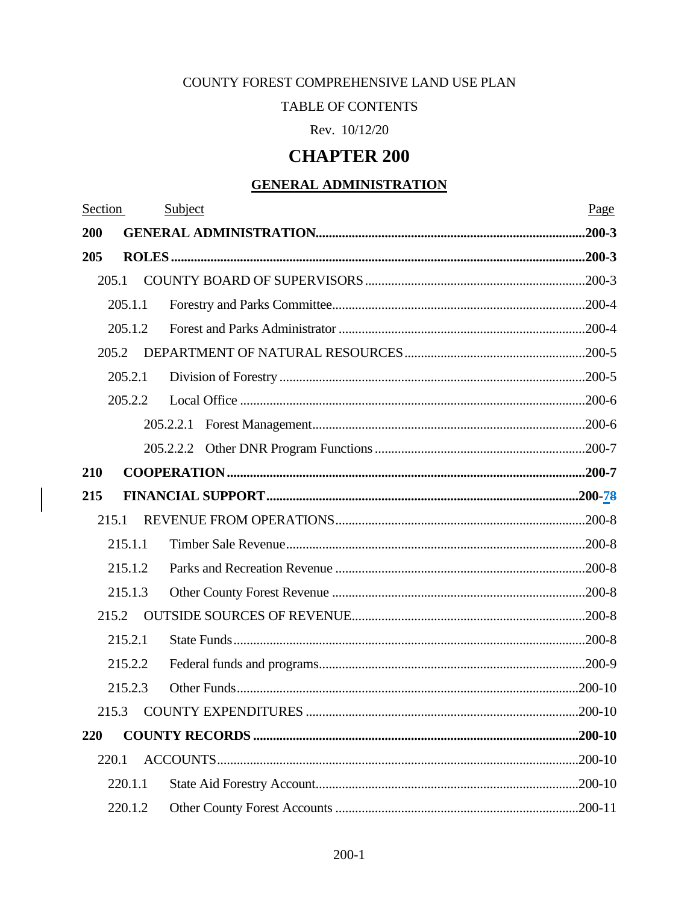# COUNTY FOREST COMPREHENSIVE LAND USE PLAN

### TABLE OF CONTENTS

Rev. 10/12/20

# **CHAPTER 200**

# **GENERAL ADMINISTRATION**

| Section | Subject | Page |
|---------|---------|------|
| 200     |         |      |
| 205     |         |      |
| 205.1   |         |      |
| 205.1.1 |         |      |
| 205.1.2 |         |      |
| 205.2   |         |      |
| 205.2.1 |         |      |
| 205.2.2 |         |      |
|         |         |      |
|         |         |      |
| 210     |         |      |
| 215     |         |      |
| 215.1   |         |      |
| 215.1.1 |         |      |
| 215.1.2 |         |      |
| 215.1.3 |         |      |
| 215.2   |         |      |
| 215.2.1 |         |      |
| 215.2.2 |         |      |
| 215.2.3 |         |      |
|         |         |      |
| 220     |         |      |
| 220.1   |         |      |
| 220.1.1 |         |      |
| 220.1.2 |         |      |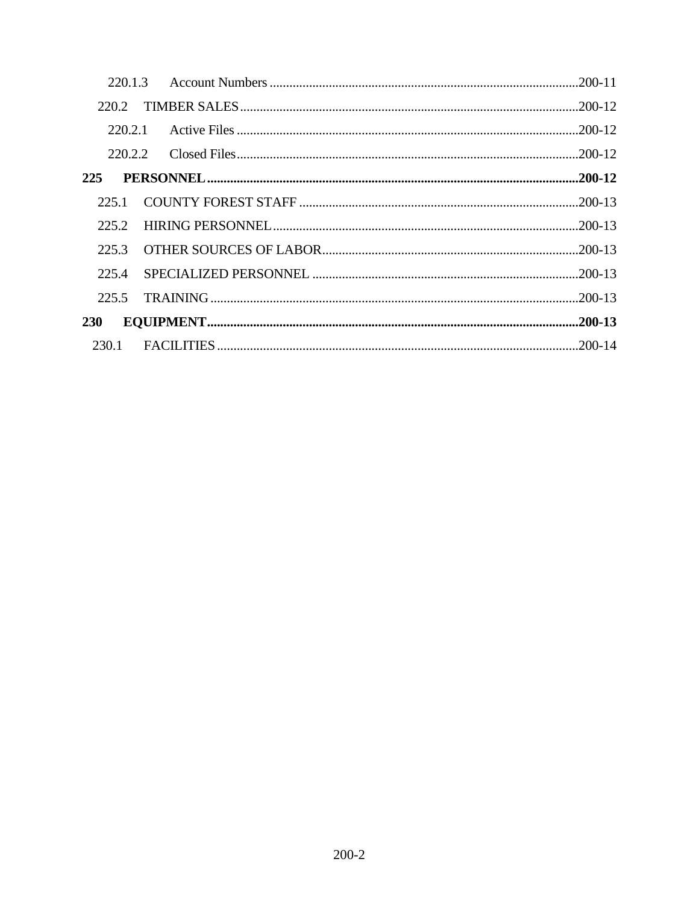| 220.2   |  |
|---------|--|
|         |  |
| 220.2.2 |  |
| 225     |  |
| 225.1   |  |
| 225.2   |  |
| 225.3   |  |
| 225.4   |  |
| 225.5   |  |
| 230     |  |
| 230.1   |  |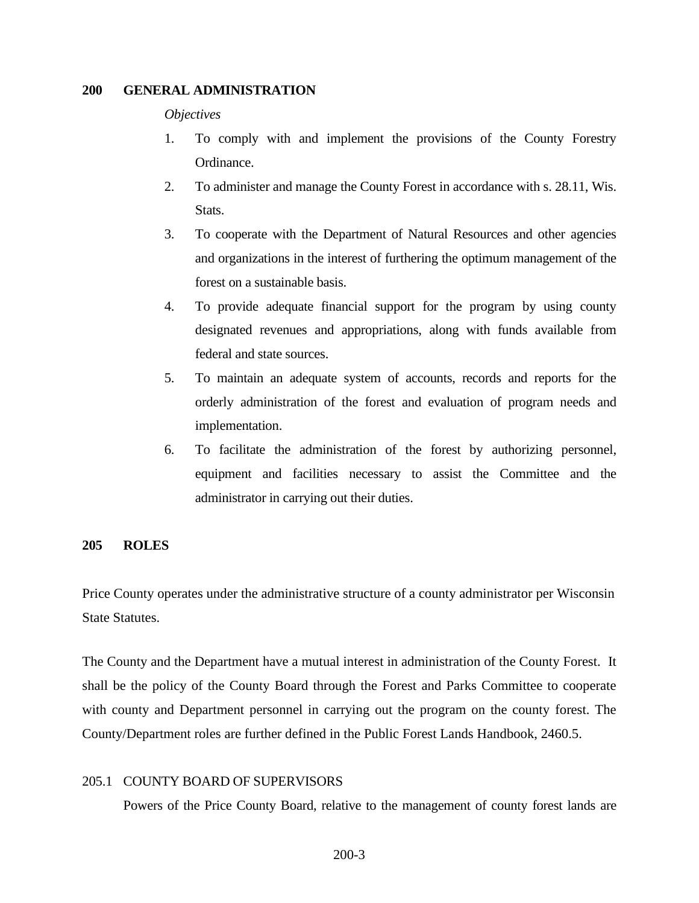# <span id="page-2-0"></span>**200 GENERAL ADMINISTRATION**

#### *Objectives*

- 1. To comply with and implement the provisions of the County Forestry Ordinance.
- 2. To administer and manage the County Forest in accordance with s. 28.11, Wis. Stats.
- 3. To cooperate with the Department of Natural Resources and other agencies and organizations in the interest of furthering the optimum management of the forest on a sustainable basis.
- 4. To provide adequate financial support for the program by using county designated revenues and appropriations, along with funds available from federal and state sources.
- 5. To maintain an adequate system of accounts, records and reports for the orderly administration of the forest and evaluation of program needs and implementation.
- 6. To facilitate the administration of the forest by authorizing personnel, equipment and facilities necessary to assist the Committee and the administrator in carrying out their duties.

### <span id="page-2-1"></span>**205 ROLES**

Price County operates under the administrative structure of a county administrator per Wisconsin State Statutes.

The County and the Department have a mutual interest in administration of the County Forest. It shall be the policy of the County Board through the Forest and Parks Committee to cooperate with county and Department personnel in carrying out the program on the county forest. The County/Department roles are further defined in the Public Forest Lands Handbook, 2460.5.

### <span id="page-2-2"></span>205.1 COUNTY BOARD OF SUPERVISORS

Powers of the Price County Board, relative to the management of county forest lands are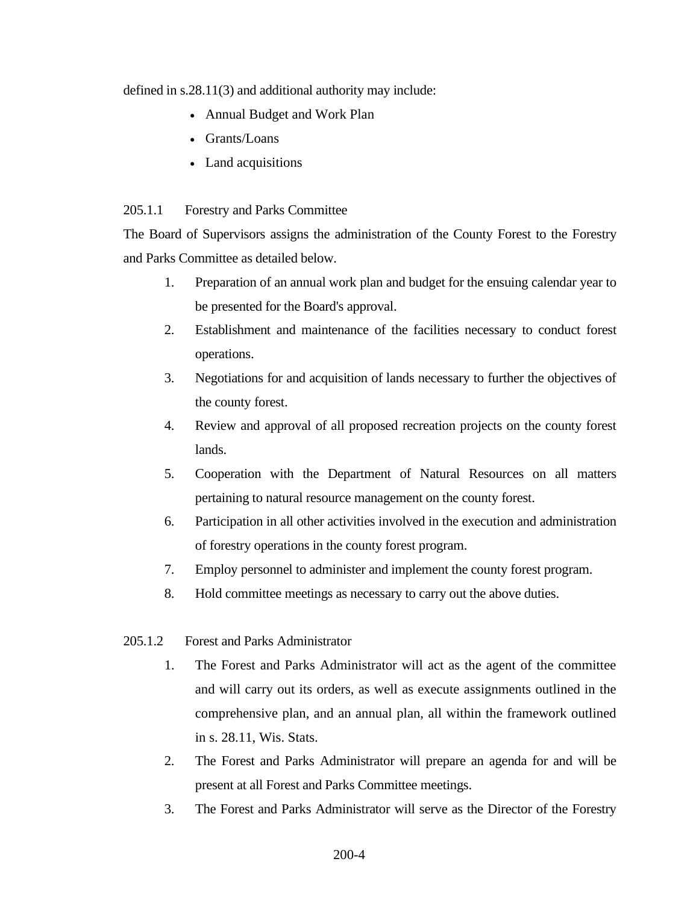defined in s.28.11(3) and additional authority may include:

- Annual Budget and Work Plan
- Grants/Loans
- Land acquisitions

# <span id="page-3-0"></span>205.1.1 Forestry and Parks Committee

The Board of Supervisors assigns the administration of the County Forest to the Forestry and Parks Committee as detailed below.

- 1. Preparation of an annual work plan and budget for the ensuing calendar year to be presented for the Board's approval.
- 2. Establishment and maintenance of the facilities necessary to conduct forest operations.
- 3. Negotiations for and acquisition of lands necessary to further the objectives of the county forest.
- 4. Review and approval of all proposed recreation projects on the county forest lands.
- 5. Cooperation with the Department of Natural Resources on all matters pertaining to natural resource management on the county forest.
- 6. Participation in all other activities involved in the execution and administration of forestry operations in the county forest program.
- 7. Employ personnel to administer and implement the county forest program.
- 8. Hold committee meetings as necessary to carry out the above duties.
- <span id="page-3-1"></span>205.1.2 Forest and Parks Administrator
	- 1. The Forest and Parks Administrator will act as the agent of the committee and will carry out its orders, as well as execute assignments outlined in the comprehensive plan, and an annual plan, all within the framework outlined in s. 28.11, Wis. Stats.
	- 2. The Forest and Parks Administrator will prepare an agenda for and will be present at all Forest and Parks Committee meetings.
	- 3. The Forest and Parks Administrator will serve as the Director of the Forestry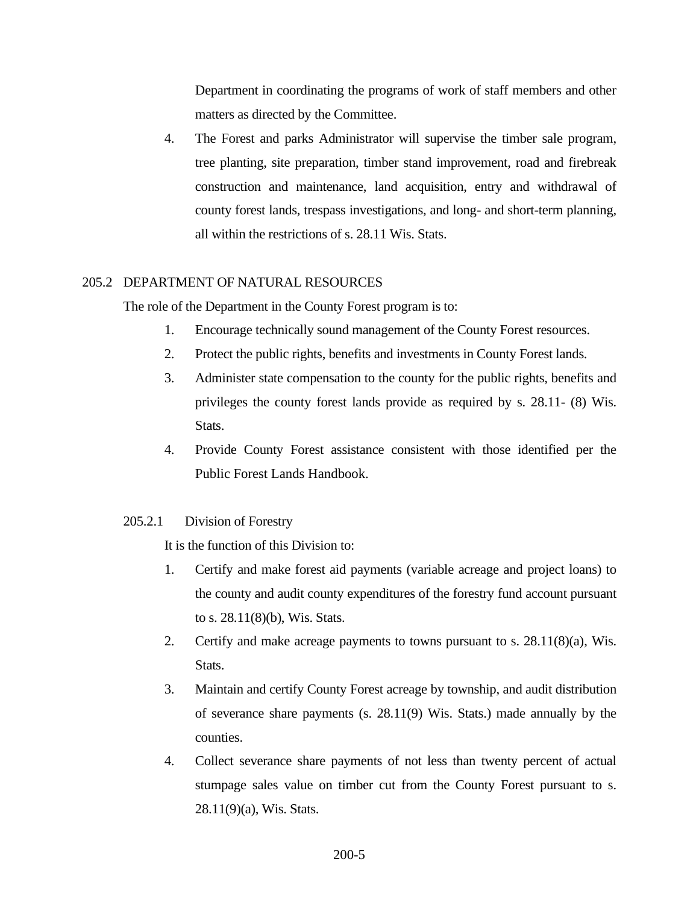Department in coordinating the programs of work of staff members and other matters as directed by the Committee.

4. The Forest and parks Administrator will supervise the timber sale program, tree planting, site preparation, timber stand improvement, road and firebreak construction and maintenance, land acquisition, entry and withdrawal of county forest lands, trespass investigations, and long- and short-term planning, all within the restrictions of s. 28.11 Wis. Stats.

# <span id="page-4-0"></span>205.2 DEPARTMENT OF NATURAL RESOURCES

The role of the Department in the County Forest program is to:

- 1. Encourage technically sound management of the County Forest resources.
- 2. Protect the public rights, benefits and investments in County Forest lands.
- 3. Administer state compensation to the county for the public rights, benefits and privileges the county forest lands provide as required by s. 28.11- (8) Wis. Stats.
- 4. Provide County Forest assistance consistent with those identified per the [Public Forest Lands Handbook.](https://dnr.wi.gov/topic/ForestManagement/documents/24605.pdf)

### <span id="page-4-1"></span>205.2.1 Division of Forestry

It is the function of this Division to:

- 1. Certify and make forest aid payments (variable acreage and project loans) to the county and audit county expenditures of the forestry fund account pursuant to s. 28.11(8)(b), Wis. Stats.
- 2. Certify and make acreage payments to towns pursuant to s. 28.11(8)(a), Wis. Stats.
- 3. Maintain and certify County Forest acreage by township, and audit distribution of severance share payments (s. 28.11(9) Wis. Stats.) made annually by the counties.
- 4. Collect severance share payments of not less than twenty percent of actual stumpage sales value on timber cut from the County Forest pursuant to s. 28.11(9)(a), Wis. Stats.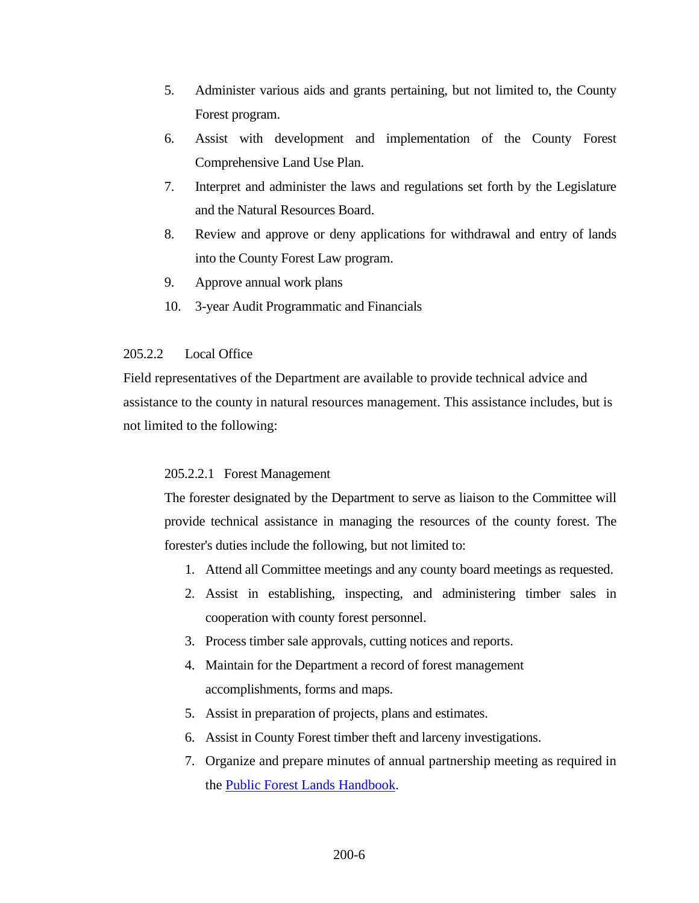- 5. Administer various aids and grants pertaining, but not limited to, the County Forest program.
- 6. Assist with development and implementation of the County Forest Comprehensive Land Use Plan.
- 7. Interpret and administer the laws and regulations set forth by the Legislature and the Natural Resources Board.
- 8. Review and approve or deny applications for withdrawal and entry of lands into the County Forest Law program.
- 9. Approve annual work plans
- 10. 3-year Audit Programmatic and Financials

# <span id="page-5-0"></span>205.2.2 Local Office

Field representatives of the Department are available to provide technical advice and assistance to the county in natural resources management. This assistance includes, but is not limited to the following:

# <span id="page-5-1"></span>205.2.2.1 Forest Management

The forester designated by the Department to serve as liaison to the Committee will provide technical assistance in managing the resources of the county forest. The forester's duties include the following, but not limited to:

- 1. Attend all Committee meetings and any county board meetings as requested.
- 2. Assist in establishing, inspecting, and administering timber sales in cooperation with county forest personnel.
- 3. Process timber sale approvals, cutting notices and reports.
- 4. Maintain for the Department a record of forest management accomplishments, forms and maps.
- 5. Assist in preparation of projects, plans and estimates.
- 6. Assist in County Forest timber theft and larceny investigations.
- 7. Organize and prepare minutes of annual partnership meeting as required in the [Public Forest Lands Handbook.](https://dnr.wi.gov/topic/ForestManagement/documents/24605.pdf)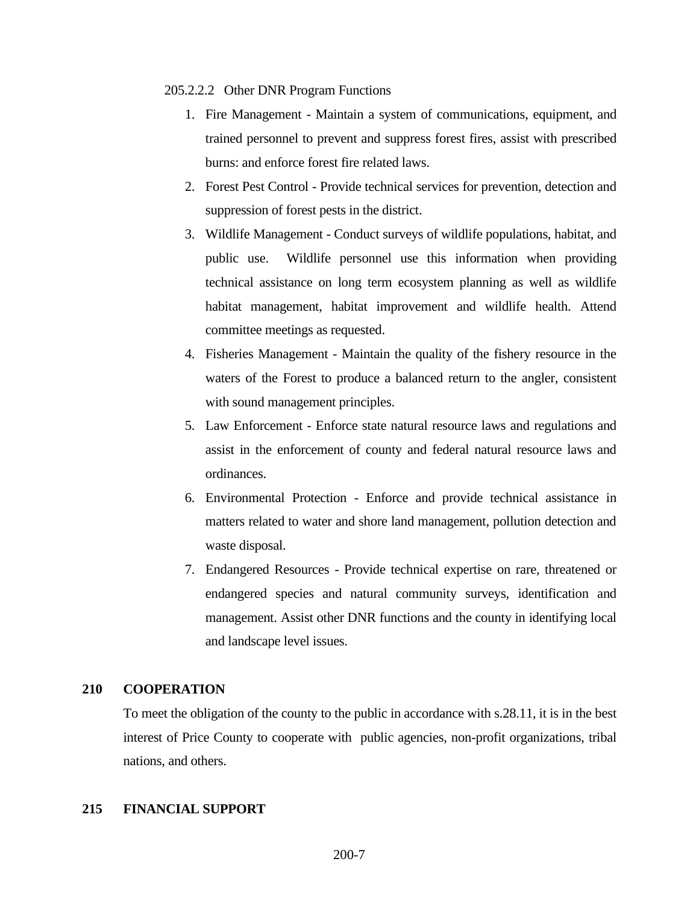#### <span id="page-6-0"></span>205.2.2.2Other DNR Program Functions

- 1. Fire Management Maintain a system of communications, equipment, and trained personnel to prevent and suppress forest fires, assist with prescribed burns: and enforce forest fire related laws.
- 2. Forest Pest Control Provide technical services for prevention, detection and suppression of forest pests in the district.
- 3. Wildlife Management Conduct surveys of wildlife populations, habitat, and public use. Wildlife personnel use this information when providing technical assistance on long term ecosystem planning as well as wildlife habitat management, habitat improvement and wildlife health. Attend committee meetings as requested.
- 4. Fisheries Management Maintain the quality of the fishery resource in the waters of the Forest to produce a balanced return to the angler, consistent with sound management principles.
- 5. Law Enforcement Enforce state natural resource laws and regulations and assist in the enforcement of county and federal natural resource laws and ordinances.
- 6. Environmental Protection Enforce and provide technical assistance in matters related to water and shore land management, pollution detection and waste disposal.
- 7. Endangered Resources Provide technical expertise on rare, threatened or endangered species and natural community surveys, identification and management. Assist other DNR functions and the county in identifying local and landscape level issues.

## <span id="page-6-1"></span>**210 COOPERATION**

To meet the obligation of the county to the public in accordance with s.28.11, it is in the best interest of Price County to cooperate with public agencies, non-profit organizations, tribal nations, and others.

# <span id="page-6-2"></span>**215 FINANCIAL SUPPORT**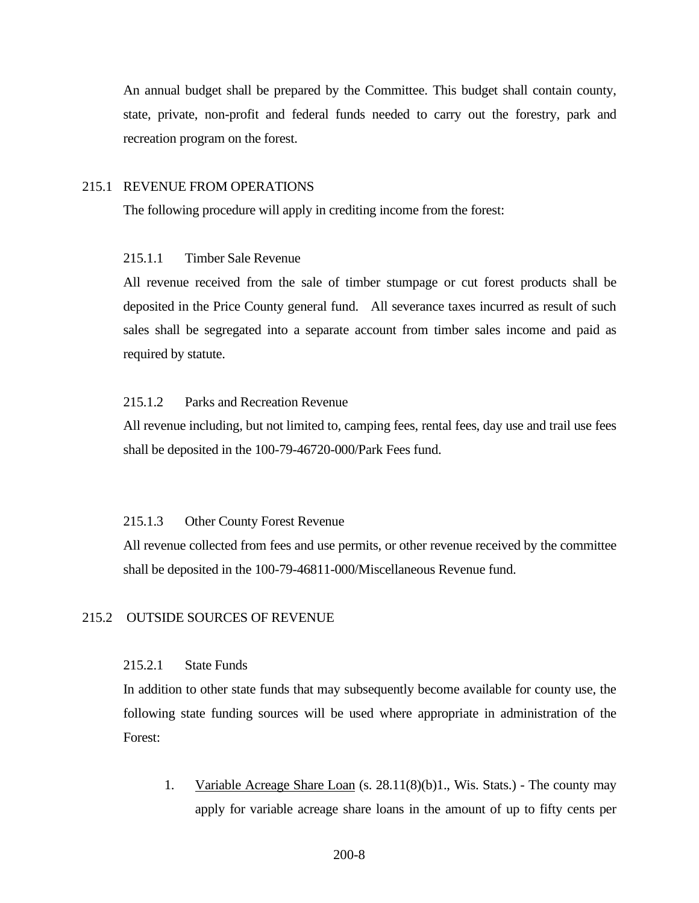An annual budget shall be prepared by the Committee. This budget shall contain county, state, private, non-profit and federal funds needed to carry out the forestry, park and recreation program on the forest.

#### <span id="page-7-0"></span>215.1 REVENUE FROM OPERATIONS

The following procedure will apply in crediting income from the forest:

# <span id="page-7-1"></span>215.1.1 Timber Sale Revenue

All revenue received from the sale of timber stumpage or cut forest products shall be deposited in the Price County general fund. All severance taxes incurred as result of such sales shall be segregated into a separate account from timber sales income and paid as required by statute.

# <span id="page-7-2"></span>215.1.2 Parks and Recreation Revenue

All revenue including, but not limited to, camping fees, rental fees, day use and trail use fees shall be deposited in the 100-79-46720-000/Park Fees fund.

#### <span id="page-7-3"></span>215.1.3 Other County Forest Revenue

All revenue collected from fees and use permits, or other revenue received by the committee shall be deposited in the 100-79-46811-000/Miscellaneous Revenue fund.

### <span id="page-7-4"></span>215.2 OUTSIDE SOURCES OF REVENUE

#### <span id="page-7-5"></span>215.2.1 State Funds

In addition to other state funds that may subsequently become available for county use, the following state funding sources will be used where appropriate in administration of the Forest:

1. Variable Acreage Share Loan (s. 28.11(8)(b)1., Wis. Stats.) - The county may apply for variable acreage share loans in the amount of up to fifty cents per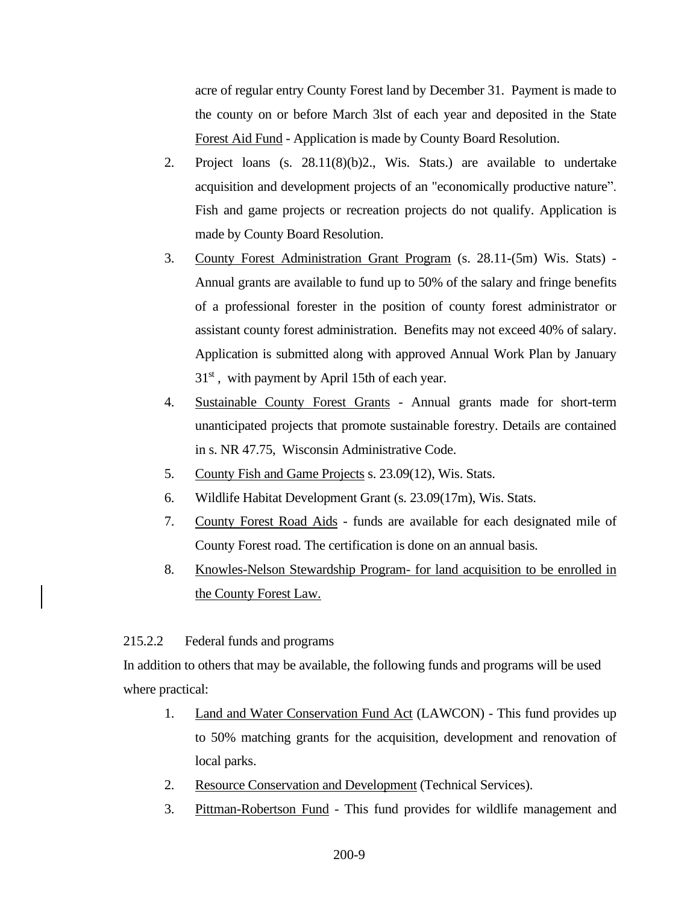acre of regular entry County Forest land by December 31. Payment is made to the county on or before March 3lst of each year and deposited in the State Forest Aid Fund - Application is made by County Board Resolution.

- 2. Project loans (s. 28.11(8)(b)2., Wis. Stats.) are available to undertake acquisition and development projects of an "economically productive nature". Fish and game projects or recreation projects do not qualify. Application is made by County Board Resolution.
- 3. County Forest Administration Grant Program (s. 28.11-(5m) Wis. Stats) Annual grants are available to fund up to 50% of the salary and fringe benefits of a professional forester in the position of county forest administrator or assistant county forest administration. Benefits may not exceed 40% of salary. Application is submitted along with approved Annual Work Plan by January  $31<sup>st</sup>$ , with payment by April 15th of each year.
- 4. Sustainable County Forest Grants Annual grants made for short-term unanticipated projects that promote sustainable forestry. Details are contained in s. NR 47.75, Wisconsin Administrative Code.
- 5. County Fish and Game Projects s. 23.09(12), Wis. Stats.
- 6. Wildlife Habitat Development Grant (s. 23.09(17m), Wis. Stats.
- 7. County Forest Road Aids funds are available for each designated mile of County Forest road. The certification is done on an annual basis.
- 8. Knowles-Nelson Stewardship Program- for land acquisition to be enrolled in the County Forest Law.

# <span id="page-8-0"></span>215.2.2 Federal funds and programs

In addition to others that may be available, the following funds and programs will be used where practical:

- 1. Land and Water Conservation Fund Act (LAWCON) This fund provides up to 50% matching grants for the acquisition, development and renovation of local parks.
- 2. Resource Conservation and Development (Technical Services).
- 3. Pittman-Robertson Fund This fund provides for wildlife management and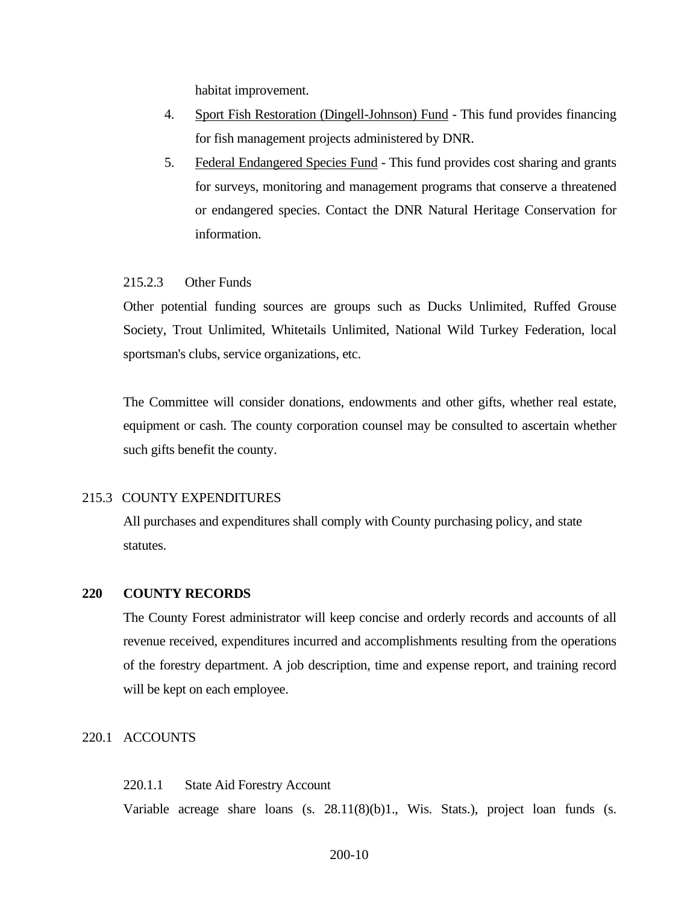habitat improvement.

- 4. Sport Fish Restoration (Dingell-Johnson) Fund This fund provides financing for fish management projects administered by DNR.
- 5. Federal Endangered Species Fund This fund provides cost sharing and grants for surveys, monitoring and management programs that conserve a threatened or endangered species. Contact the DNR Natural Heritage Conservation for information.

# <span id="page-9-0"></span>215.2.3 Other Funds

Other potential funding sources are groups such as Ducks Unlimited, Ruffed Grouse Society, Trout Unlimited, Whitetails Unlimited, National Wild Turkey Federation, local sportsman's clubs, service organizations, etc.

The Committee will consider donations, endowments and other gifts, whether real estate, equipment or cash. The county corporation counsel may be consulted to ascertain whether such gifts benefit the county.

### <span id="page-9-1"></span>215.3 COUNTY EXPENDITURES

All purchases and expenditures shall comply with County purchasing policy, and state statutes.

#### <span id="page-9-2"></span>**220 COUNTY RECORDS**

The County Forest administrator will keep concise and orderly records and accounts of all revenue received, expenditures incurred and accomplishments resulting from the operations of the forestry department. A job description, time and expense report, and training record will be kept on each employee.

# <span id="page-9-3"></span>220.1 ACCOUNTS

#### <span id="page-9-4"></span>220.1.1 State Aid Forestry Account

Variable acreage share loans (s. 28.11(8)(b)1., Wis. Stats.), project loan funds (s.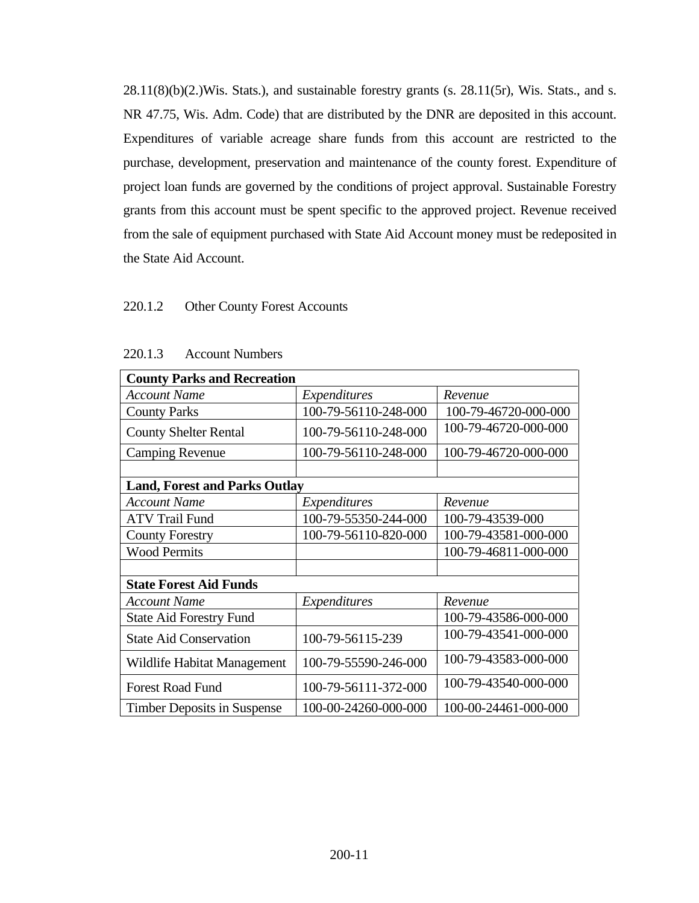$28.11(8)(b)(2.)$ Wis. Stats.), and sustainable forestry grants (s.  $28.11(5r)$ , Wis. Stats., and s. NR 47.75, Wis. Adm. Code) that are distributed by the DNR are deposited in this account. Expenditures of variable acreage share funds from this account are restricted to the purchase, development, preservation and maintenance of the county forest. Expenditure of project loan funds are governed by the conditions of project approval. Sustainable Forestry grants from this account must be spent specific to the approved project. Revenue received from the sale of equipment purchased with State Aid Account money must be redeposited in the State Aid Account.

# <span id="page-10-0"></span>220.1.2 Other County Forest Accounts

<span id="page-10-1"></span>

| <b>County Parks and Recreation</b>   |                      |                      |  |  |  |
|--------------------------------------|----------------------|----------------------|--|--|--|
| Account Name                         | Expenditures         | Revenue              |  |  |  |
| <b>County Parks</b>                  | 100-79-56110-248-000 | 100-79-46720-000-000 |  |  |  |
| <b>County Shelter Rental</b>         | 100-79-56110-248-000 | 100-79-46720-000-000 |  |  |  |
| <b>Camping Revenue</b>               | 100-79-56110-248-000 | 100-79-46720-000-000 |  |  |  |
|                                      |                      |                      |  |  |  |
| <b>Land, Forest and Parks Outlay</b> |                      |                      |  |  |  |
| <b>Account Name</b>                  | Expenditures         | Revenue              |  |  |  |
| <b>ATV Trail Fund</b>                | 100-79-55350-244-000 | 100-79-43539-000     |  |  |  |
| <b>County Forestry</b>               | 100-79-56110-820-000 | 100-79-43581-000-000 |  |  |  |
| <b>Wood Permits</b>                  |                      | 100-79-46811-000-000 |  |  |  |
|                                      |                      |                      |  |  |  |
| <b>State Forest Aid Funds</b>        |                      |                      |  |  |  |
| <b>Account Name</b>                  | Expenditures         | Revenue              |  |  |  |
| <b>State Aid Forestry Fund</b>       |                      | 100-79-43586-000-000 |  |  |  |
| <b>State Aid Conservation</b>        | 100-79-56115-239     | 100-79-43541-000-000 |  |  |  |
| Wildlife Habitat Management          | 100-79-55590-246-000 | 100-79-43583-000-000 |  |  |  |
| <b>Forest Road Fund</b>              | 100-79-56111-372-000 | 100-79-43540-000-000 |  |  |  |
| Timber Deposits in Suspense          | 100-00-24260-000-000 | 100-00-24461-000-000 |  |  |  |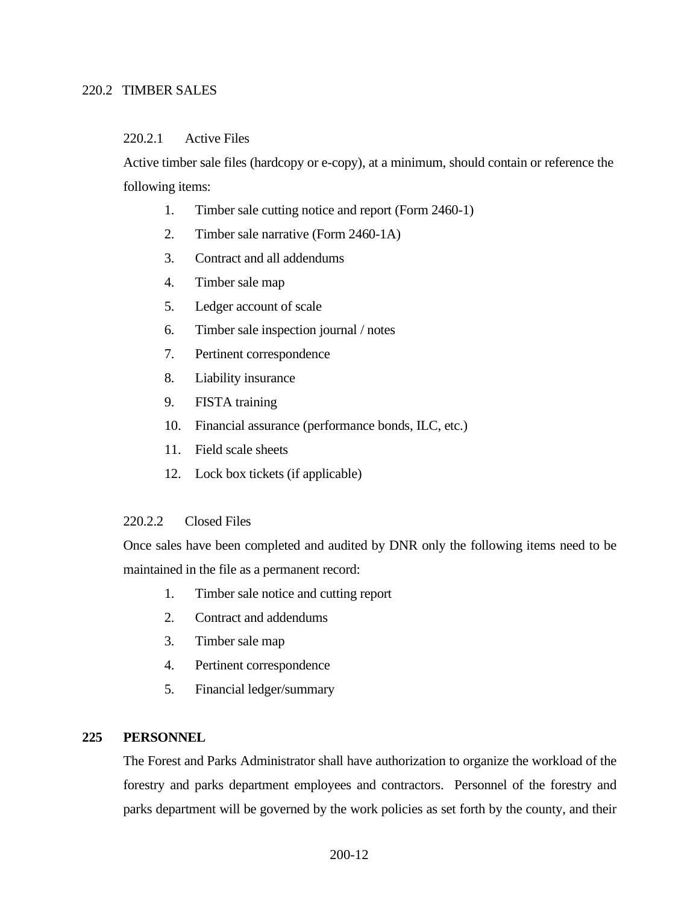# <span id="page-11-0"></span>220.2 TIMBER SALES

# <span id="page-11-1"></span>220.2.1 Active Files

Active timber sale files (hardcopy or e-copy), at a minimum, should contain or reference the following items:

- 1. Timber sale cutting notice and report (Form 2460-1)
- 2. Timber sale narrative (Form 2460-1A)
- 3. Contract and all addendums
- 4. Timber sale map
- 5. Ledger account of scale
- 6. Timber sale inspection journal / notes
- 7. Pertinent correspondence
- 8. Liability insurance
- 9. FISTA training
- 10. Financial assurance (performance bonds, ILC, etc.)
- 11. Field scale sheets
- 12. Lock box tickets (if applicable)

# <span id="page-11-2"></span>220.2.2 Closed Files

Once sales have been completed and audited by DNR only the following items need to be maintained in the file as a permanent record:

- 1. Timber sale notice and cutting report
- 2. Contract and addendums
- 3. Timber sale map
- 4. Pertinent correspondence
- 5. Financial ledger/summary

# <span id="page-11-3"></span>**225 PERSONNEL**

The Forest and Parks Administrator shall have authorization to organize the workload of the forestry and parks department employees and contractors. Personnel of the forestry and parks department will be governed by the work policies as set forth by the county, and their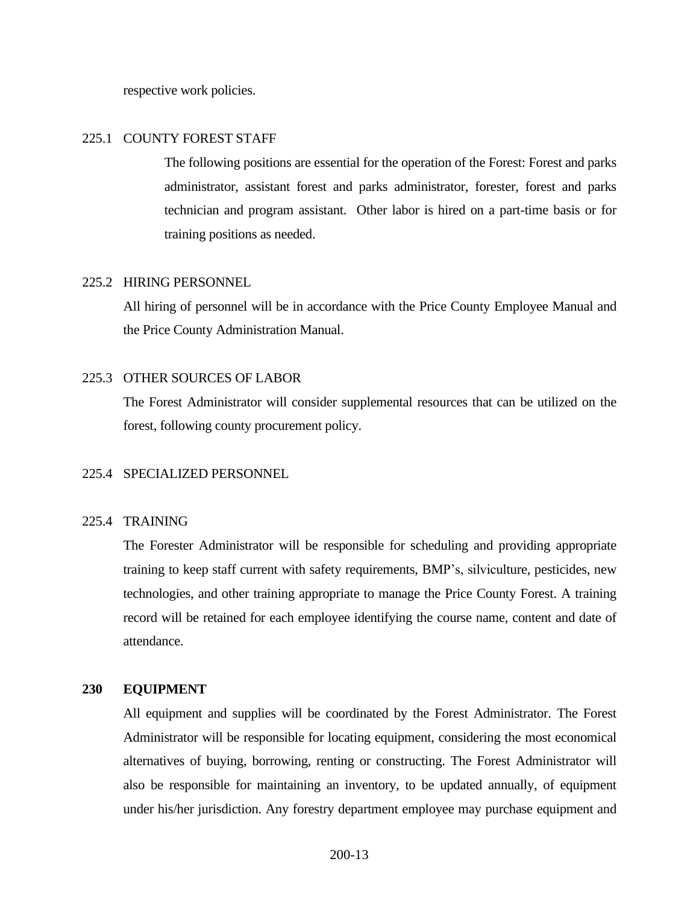respective work policies.

# <span id="page-12-0"></span>225.1 COUNTY FOREST STAFF

The following positions are essential for the operation of the Forest: Forest and parks administrator, assistant forest and parks administrator, forester, forest and parks technician and program assistant. Other labor is hired on a part-time basis or for training positions as needed.

# <span id="page-12-1"></span>225.2 HIRING PERSONNEL

All hiring of personnel will be in accordance with the Price County Employee Manual and the Price County Administration Manual.

### <span id="page-12-2"></span>225.3 OTHER SOURCES OF LABOR

The Forest Administrator will consider supplemental resources that can be utilized on the forest, following county procurement policy.

### 225.4 SPECIALIZED PERSONNEL

### <span id="page-12-3"></span>225.4 TRAINING

The Forester Administrator will be responsible for scheduling and providing appropriate training to keep staff current with safety requirements, BMP's, silviculture, pesticides, new technologies, and other training appropriate to manage the Price County Forest. A training record will be retained for each employee identifying the course name, content and date of attendance.

## <span id="page-12-4"></span>**230 EQUIPMENT**

All equipment and supplies will be coordinated by the Forest Administrator. The Forest Administrator will be responsible for locating equipment, considering the most economical alternatives of buying, borrowing, renting or constructing. The Forest Administrator will also be responsible for maintaining an inventory, to be updated annually, of equipment under his/her jurisdiction. Any forestry department employee may purchase equipment and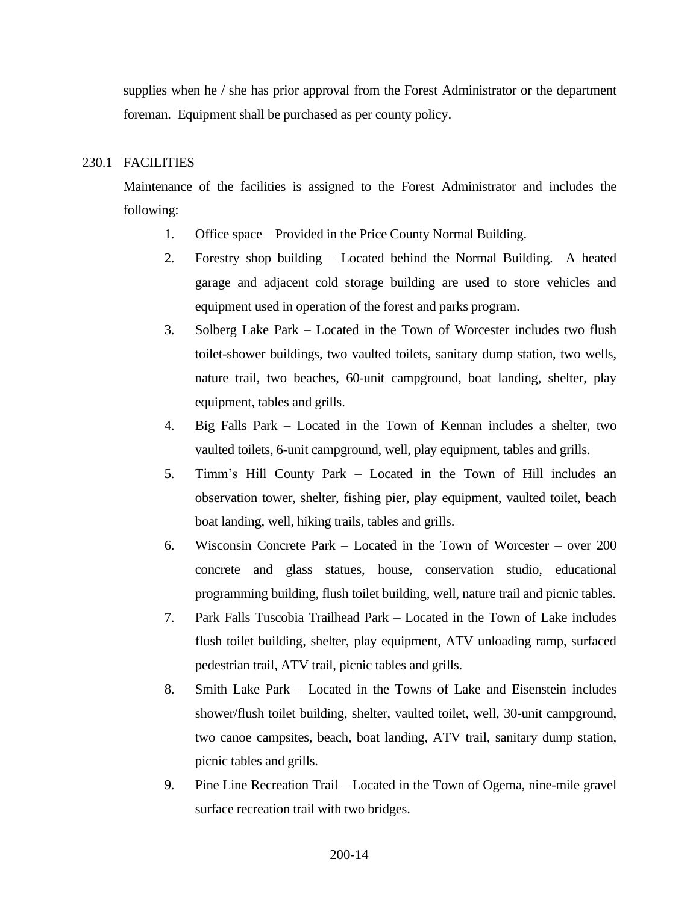supplies when he / she has prior approval from the Forest Administrator or the department foreman. Equipment shall be purchased as per county policy.

# <span id="page-13-0"></span>230.1 FACILITIES

Maintenance of the facilities is assigned to the Forest Administrator and includes the following:

- 1. Office space Provided in the Price County Normal Building.
- 2. Forestry shop building Located behind the Normal Building. A heated garage and adjacent cold storage building are used to store vehicles and equipment used in operation of the forest and parks program.
- 3. Solberg Lake Park Located in the Town of Worcester includes two flush toilet-shower buildings, two vaulted toilets, sanitary dump station, two wells, nature trail, two beaches, 60-unit campground, boat landing, shelter, play equipment, tables and grills.
- 4. Big Falls Park Located in the Town of Kennan includes a shelter, two vaulted toilets, 6-unit campground, well, play equipment, tables and grills.
- 5. Timm's Hill County Park Located in the Town of Hill includes an observation tower, shelter, fishing pier, play equipment, vaulted toilet, beach boat landing, well, hiking trails, tables and grills.
- 6. Wisconsin Concrete Park Located in the Town of Worcester over 200 concrete and glass statues, house, conservation studio, educational programming building, flush toilet building, well, nature trail and picnic tables.
- 7. Park Falls Tuscobia Trailhead Park Located in the Town of Lake includes flush toilet building, shelter, play equipment, ATV unloading ramp, surfaced pedestrian trail, ATV trail, picnic tables and grills.
- 8. Smith Lake Park Located in the Towns of Lake and Eisenstein includes shower/flush toilet building, shelter, vaulted toilet, well, 30-unit campground, two canoe campsites, beach, boat landing, ATV trail, sanitary dump station, picnic tables and grills.
- 9. Pine Line Recreation Trail Located in the Town of Ogema, nine-mile gravel surface recreation trail with two bridges.